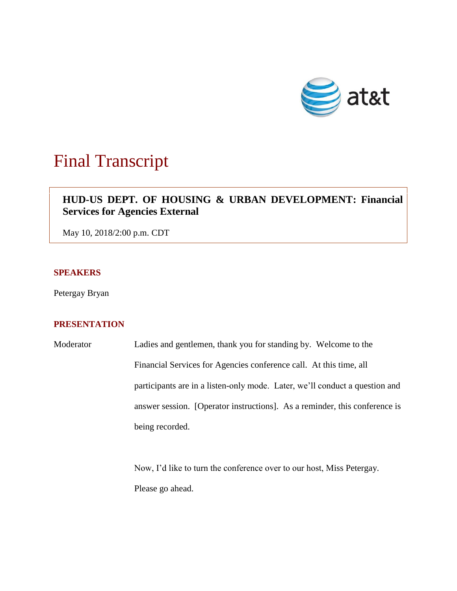

# Final Transcript

# **HUD-US DEPT. OF HOUSING & URBAN DEVELOPMENT: Financial Services for Agencies External**

May 10, 2018/2:00 p.m. CDT

## **SPEAKERS**

Petergay Bryan

### **PRESENTATION**

Moderator Ladies and gentlemen, thank you for standing by. Welcome to the Financial Services for Agencies conference call. At this time, all participants are in a listen-only mode. Later, we'll conduct a question and answer session. [Operator instructions]. As a reminder, this conference is being recorded.

> Now, I'd like to turn the conference over to our host, Miss Petergay. Please go ahead.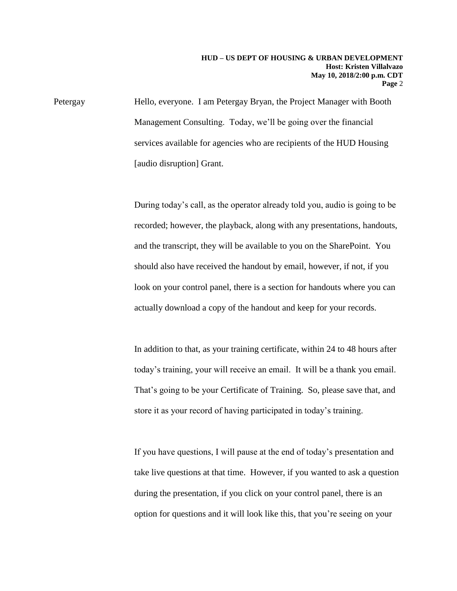Petergay Hello, everyone. I am Petergay Bryan, the Project Manager with Booth Management Consulting. Today, we'll be going over the financial services available for agencies who are recipients of the HUD Housing [audio disruption] Grant.

> During today's call, as the operator already told you, audio is going to be recorded; however, the playback, along with any presentations, handouts, and the transcript, they will be available to you on the SharePoint. You should also have received the handout by email, however, if not, if you look on your control panel, there is a section for handouts where you can actually download a copy of the handout and keep for your records.

> In addition to that, as your training certificate, within 24 to 48 hours after today's training, your will receive an email. It will be a thank you email. That's going to be your Certificate of Training. So, please save that, and store it as your record of having participated in today's training.

If you have questions, I will pause at the end of today's presentation and take live questions at that time. However, if you wanted to ask a question during the presentation, if you click on your control panel, there is an option for questions and it will look like this, that you're seeing on your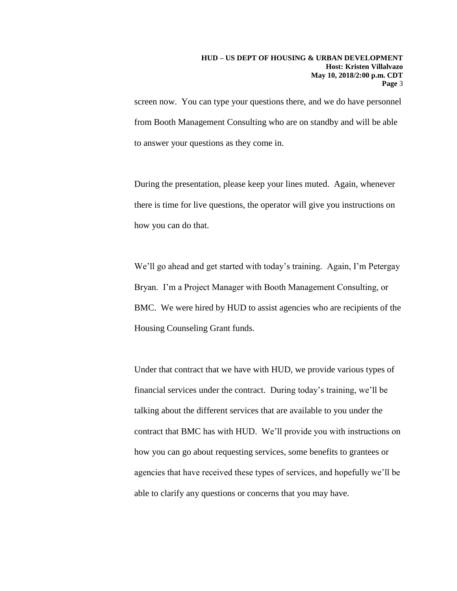screen now. You can type your questions there, and we do have personnel from Booth Management Consulting who are on standby and will be able to answer your questions as they come in.

During the presentation, please keep your lines muted. Again, whenever there is time for live questions, the operator will give you instructions on how you can do that.

We'll go ahead and get started with today's training. Again, I'm Petergay Bryan. I'm a Project Manager with Booth Management Consulting, or BMC. We were hired by HUD to assist agencies who are recipients of the Housing Counseling Grant funds.

Under that contract that we have with HUD, we provide various types of financial services under the contract. During today's training, we'll be talking about the different services that are available to you under the contract that BMC has with HUD. We'll provide you with instructions on how you can go about requesting services, some benefits to grantees or agencies that have received these types of services, and hopefully we'll be able to clarify any questions or concerns that you may have.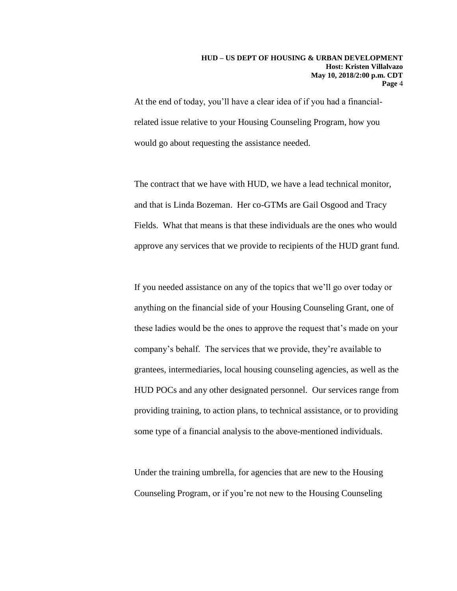#### **HUD – US DEPT OF HOUSING & URBAN DEVELOPMENT Host: Kristen Villalvazo May 10, 2018/2:00 p.m. CDT Page** 4

At the end of today, you'll have a clear idea of if you had a financialrelated issue relative to your Housing Counseling Program, how you would go about requesting the assistance needed.

The contract that we have with HUD, we have a lead technical monitor, and that is Linda Bozeman. Her co-GTMs are Gail Osgood and Tracy Fields. What that means is that these individuals are the ones who would approve any services that we provide to recipients of the HUD grant fund.

If you needed assistance on any of the topics that we'll go over today or anything on the financial side of your Housing Counseling Grant, one of these ladies would be the ones to approve the request that's made on your company's behalf. The services that we provide, they're available to grantees, intermediaries, local housing counseling agencies, as well as the HUD POCs and any other designated personnel. Our services range from providing training, to action plans, to technical assistance, or to providing some type of a financial analysis to the above-mentioned individuals.

Under the training umbrella, for agencies that are new to the Housing Counseling Program, or if you're not new to the Housing Counseling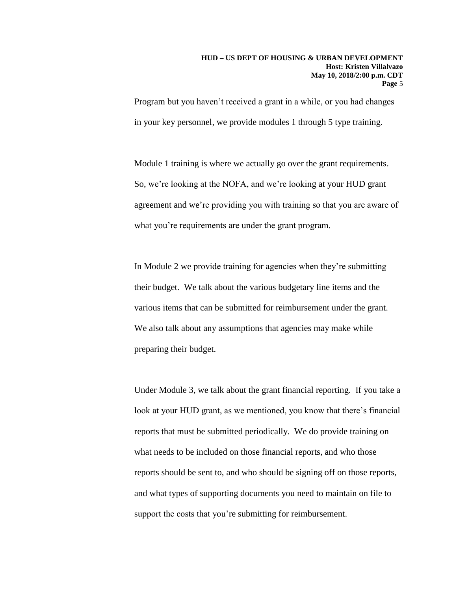Program but you haven't received a grant in a while, or you had changes in your key personnel, we provide modules 1 through 5 type training.

Module 1 training is where we actually go over the grant requirements. So, we're looking at the NOFA, and we're looking at your HUD grant agreement and we're providing you with training so that you are aware of what you're requirements are under the grant program.

In Module 2 we provide training for agencies when they're submitting their budget. We talk about the various budgetary line items and the various items that can be submitted for reimbursement under the grant. We also talk about any assumptions that agencies may make while preparing their budget.

Under Module 3, we talk about the grant financial reporting. If you take a look at your HUD grant, as we mentioned, you know that there's financial reports that must be submitted periodically. We do provide training on what needs to be included on those financial reports, and who those reports should be sent to, and who should be signing off on those reports, and what types of supporting documents you need to maintain on file to support the costs that you're submitting for reimbursement.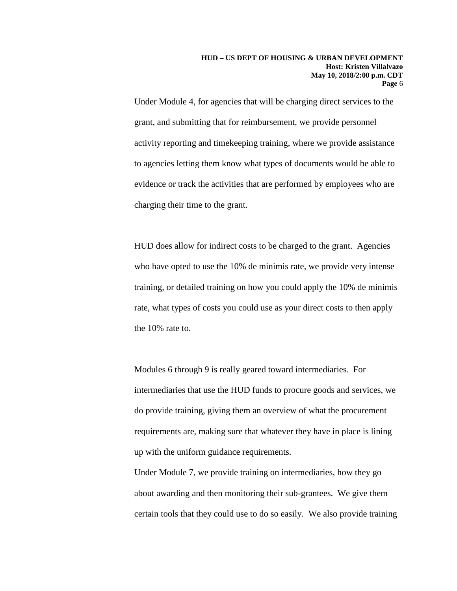Under Module 4, for agencies that will be charging direct services to the grant, and submitting that for reimbursement, we provide personnel activity reporting and timekeeping training, where we provide assistance to agencies letting them know what types of documents would be able to evidence or track the activities that are performed by employees who are charging their time to the grant.

HUD does allow for indirect costs to be charged to the grant. Agencies who have opted to use the 10% de minimis rate, we provide very intense training, or detailed training on how you could apply the 10% de minimis rate, what types of costs you could use as your direct costs to then apply the 10% rate to.

Modules 6 through 9 is really geared toward intermediaries. For intermediaries that use the HUD funds to procure goods and services, we do provide training, giving them an overview of what the procurement requirements are, making sure that whatever they have in place is lining up with the uniform guidance requirements.

Under Module 7, we provide training on intermediaries, how they go about awarding and then monitoring their sub-grantees. We give them certain tools that they could use to do so easily. We also provide training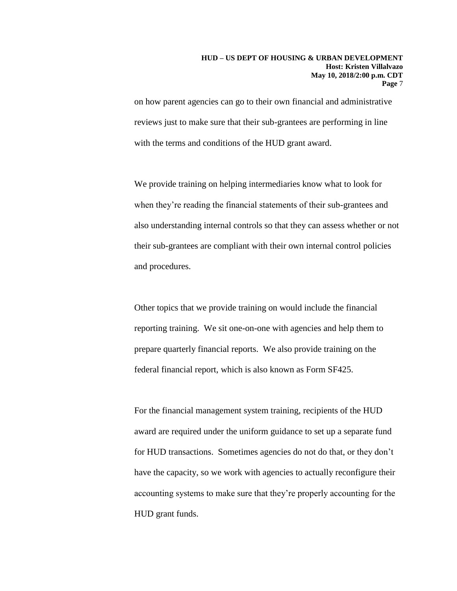on how parent agencies can go to their own financial and administrative reviews just to make sure that their sub-grantees are performing in line with the terms and conditions of the HUD grant award.

We provide training on helping intermediaries know what to look for when they're reading the financial statements of their sub-grantees and also understanding internal controls so that they can assess whether or not their sub-grantees are compliant with their own internal control policies and procedures.

Other topics that we provide training on would include the financial reporting training. We sit one-on-one with agencies and help them to prepare quarterly financial reports. We also provide training on the federal financial report, which is also known as Form SF425.

For the financial management system training, recipients of the HUD award are required under the uniform guidance to set up a separate fund for HUD transactions. Sometimes agencies do not do that, or they don't have the capacity, so we work with agencies to actually reconfigure their accounting systems to make sure that they're properly accounting for the HUD grant funds.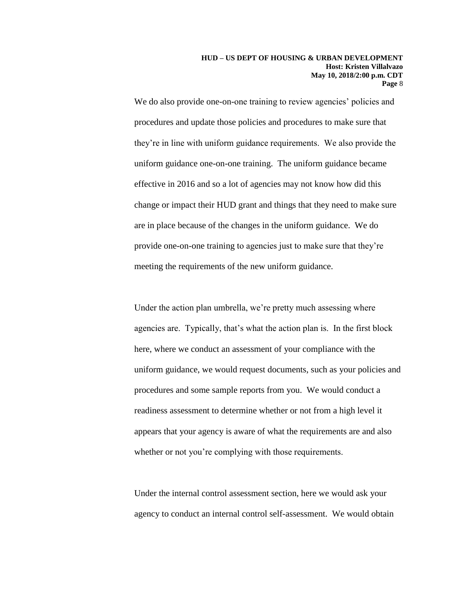We do also provide one-on-one training to review agencies' policies and procedures and update those policies and procedures to make sure that they're in line with uniform guidance requirements. We also provide the uniform guidance one-on-one training. The uniform guidance became effective in 2016 and so a lot of agencies may not know how did this change or impact their HUD grant and things that they need to make sure are in place because of the changes in the uniform guidance. We do provide one-on-one training to agencies just to make sure that they're meeting the requirements of the new uniform guidance.

Under the action plan umbrella, we're pretty much assessing where agencies are. Typically, that's what the action plan is. In the first block here, where we conduct an assessment of your compliance with the uniform guidance, we would request documents, such as your policies and procedures and some sample reports from you. We would conduct a readiness assessment to determine whether or not from a high level it appears that your agency is aware of what the requirements are and also whether or not you're complying with those requirements.

Under the internal control assessment section, here we would ask your agency to conduct an internal control self-assessment. We would obtain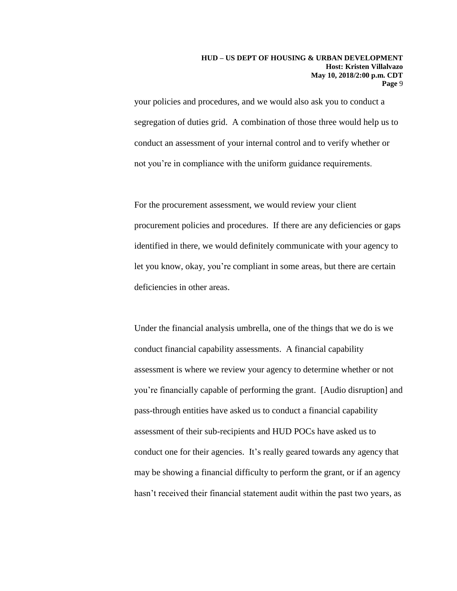your policies and procedures, and we would also ask you to conduct a segregation of duties grid. A combination of those three would help us to conduct an assessment of your internal control and to verify whether or not you're in compliance with the uniform guidance requirements.

For the procurement assessment, we would review your client procurement policies and procedures. If there are any deficiencies or gaps identified in there, we would definitely communicate with your agency to let you know, okay, you're compliant in some areas, but there are certain deficiencies in other areas.

Under the financial analysis umbrella, one of the things that we do is we conduct financial capability assessments. A financial capability assessment is where we review your agency to determine whether or not you're financially capable of performing the grant. [Audio disruption] and pass-through entities have asked us to conduct a financial capability assessment of their sub-recipients and HUD POCs have asked us to conduct one for their agencies. It's really geared towards any agency that may be showing a financial difficulty to perform the grant, or if an agency hasn't received their financial statement audit within the past two years, as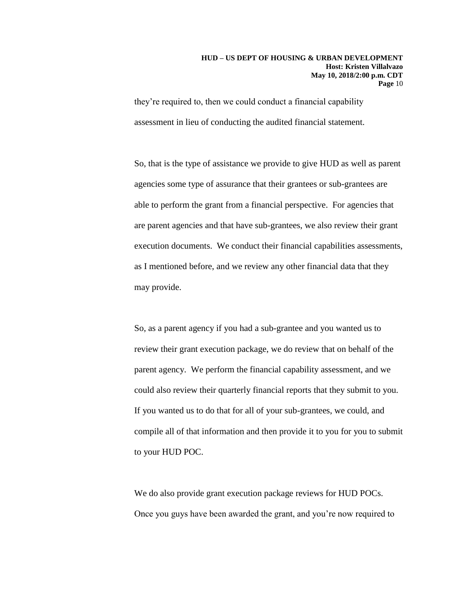#### **HUD – US DEPT OF HOUSING & URBAN DEVELOPMENT Host: Kristen Villalvazo May 10, 2018/2:00 p.m. CDT Page** 10

they're required to, then we could conduct a financial capability assessment in lieu of conducting the audited financial statement.

So, that is the type of assistance we provide to give HUD as well as parent agencies some type of assurance that their grantees or sub-grantees are able to perform the grant from a financial perspective. For agencies that are parent agencies and that have sub-grantees, we also review their grant execution documents. We conduct their financial capabilities assessments, as I mentioned before, and we review any other financial data that they may provide.

So, as a parent agency if you had a sub-grantee and you wanted us to review their grant execution package, we do review that on behalf of the parent agency. We perform the financial capability assessment, and we could also review their quarterly financial reports that they submit to you. If you wanted us to do that for all of your sub-grantees, we could, and compile all of that information and then provide it to you for you to submit to your HUD POC.

We do also provide grant execution package reviews for HUD POCs. Once you guys have been awarded the grant, and you're now required to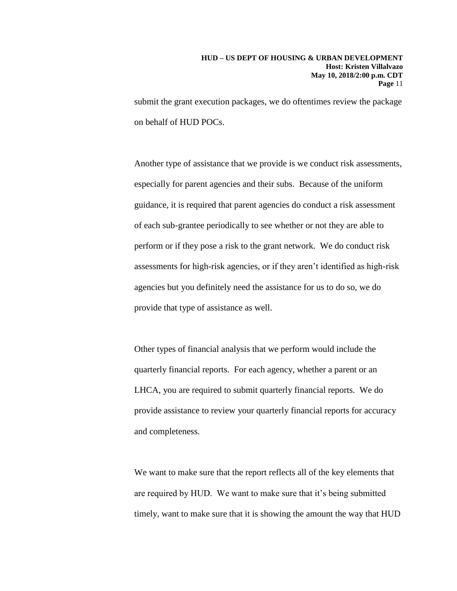submit the grant execution packages, we do oftentimes review the package on behalf of HUD POCs.

Another type of assistance that we provide is we conduct risk assessments, especially for parent agencies and their subs. Because of the uniform guidance, it is required that parent agencies do conduct a risk assessment of each sub-grantee periodically to see whether or not they are able to perform or if they pose a risk to the grant network. We do conduct risk assessments for high-risk agencies, or if they aren't identified as high-risk agencies but you definitely need the assistance for us to do so, we do provide that type of assistance as well.

Other types of financial analysis that we perform would include the quarterly financial reports. For each agency, whether a parent or an LHCA, you are required to submit quarterly financial reports. We do provide assistance to review your quarterly financial reports for accuracy and completeness.

We want to make sure that the report reflects all of the key elements that are required by HUD. We want to make sure that it's being submitted timely, want to make sure that it is showing the amount the way that HUD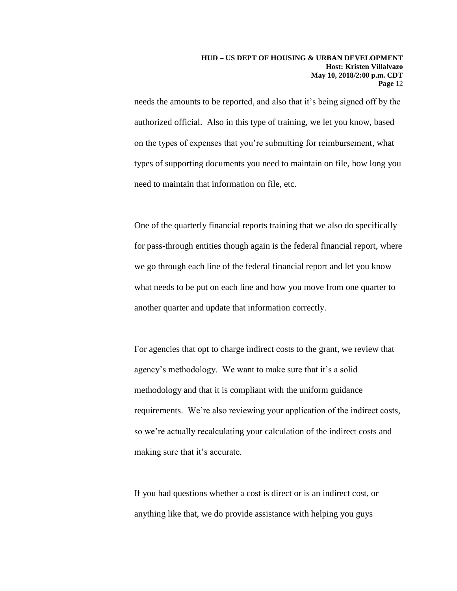needs the amounts to be reported, and also that it's being signed off by the authorized official. Also in this type of training, we let you know, based on the types of expenses that you're submitting for reimbursement, what types of supporting documents you need to maintain on file, how long you need to maintain that information on file, etc.

One of the quarterly financial reports training that we also do specifically for pass-through entities though again is the federal financial report, where we go through each line of the federal financial report and let you know what needs to be put on each line and how you move from one quarter to another quarter and update that information correctly.

For agencies that opt to charge indirect costs to the grant, we review that agency's methodology. We want to make sure that it's a solid methodology and that it is compliant with the uniform guidance requirements. We're also reviewing your application of the indirect costs, so we're actually recalculating your calculation of the indirect costs and making sure that it's accurate.

If you had questions whether a cost is direct or is an indirect cost, or anything like that, we do provide assistance with helping you guys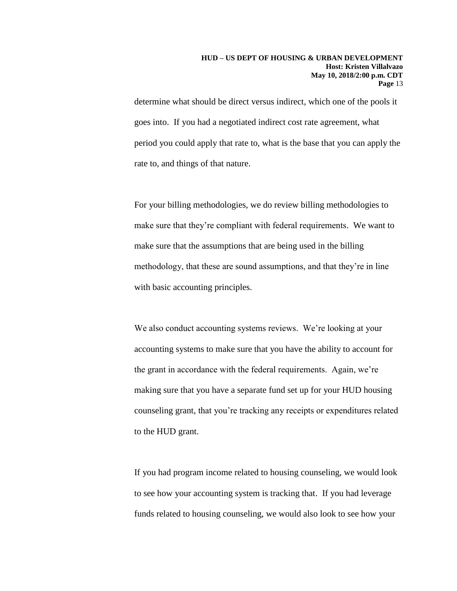determine what should be direct versus indirect, which one of the pools it goes into. If you had a negotiated indirect cost rate agreement, what period you could apply that rate to, what is the base that you can apply the rate to, and things of that nature.

For your billing methodologies, we do review billing methodologies to make sure that they're compliant with federal requirements. We want to make sure that the assumptions that are being used in the billing methodology, that these are sound assumptions, and that they're in line with basic accounting principles.

We also conduct accounting systems reviews. We're looking at your accounting systems to make sure that you have the ability to account for the grant in accordance with the federal requirements. Again, we're making sure that you have a separate fund set up for your HUD housing counseling grant, that you're tracking any receipts or expenditures related to the HUD grant.

If you had program income related to housing counseling, we would look to see how your accounting system is tracking that. If you had leverage funds related to housing counseling, we would also look to see how your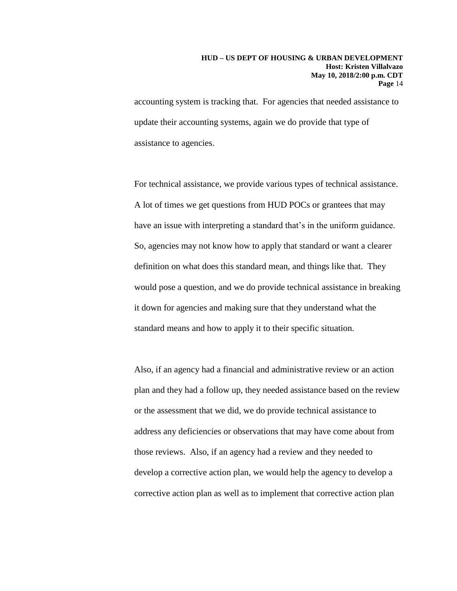#### **HUD – US DEPT OF HOUSING & URBAN DEVELOPMENT Host: Kristen Villalvazo May 10, 2018/2:00 p.m. CDT Page** 14

accounting system is tracking that. For agencies that needed assistance to update their accounting systems, again we do provide that type of assistance to agencies.

For technical assistance, we provide various types of technical assistance. A lot of times we get questions from HUD POCs or grantees that may have an issue with interpreting a standard that's in the uniform guidance. So, agencies may not know how to apply that standard or want a clearer definition on what does this standard mean, and things like that. They would pose a question, and we do provide technical assistance in breaking it down for agencies and making sure that they understand what the standard means and how to apply it to their specific situation.

Also, if an agency had a financial and administrative review or an action plan and they had a follow up, they needed assistance based on the review or the assessment that we did, we do provide technical assistance to address any deficiencies or observations that may have come about from those reviews. Also, if an agency had a review and they needed to develop a corrective action plan, we would help the agency to develop a corrective action plan as well as to implement that corrective action plan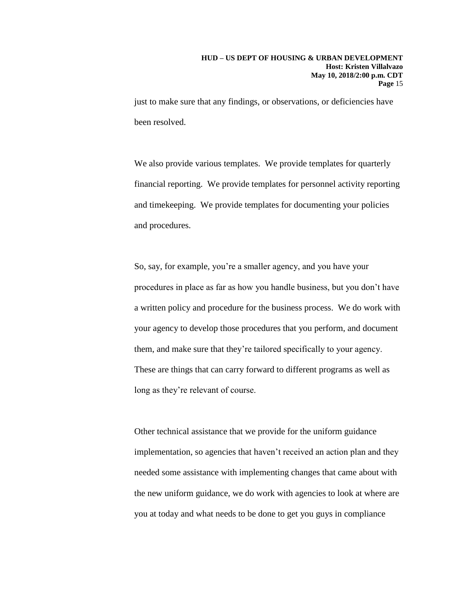just to make sure that any findings, or observations, or deficiencies have been resolved.

We also provide various templates. We provide templates for quarterly financial reporting. We provide templates for personnel activity reporting and timekeeping. We provide templates for documenting your policies and procedures.

So, say, for example, you're a smaller agency, and you have your procedures in place as far as how you handle business, but you don't have a written policy and procedure for the business process. We do work with your agency to develop those procedures that you perform, and document them, and make sure that they're tailored specifically to your agency. These are things that can carry forward to different programs as well as long as they're relevant of course.

Other technical assistance that we provide for the uniform guidance implementation, so agencies that haven't received an action plan and they needed some assistance with implementing changes that came about with the new uniform guidance, we do work with agencies to look at where are you at today and what needs to be done to get you guys in compliance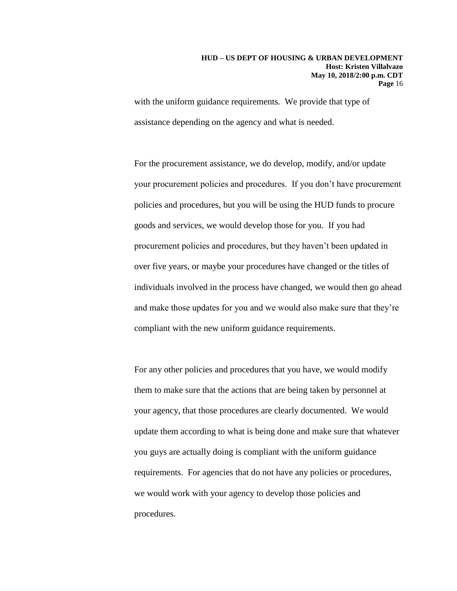with the uniform guidance requirements. We provide that type of assistance depending on the agency and what is needed.

For the procurement assistance, we do develop, modify, and/or update your procurement policies and procedures. If you don't have procurement policies and procedures, but you will be using the HUD funds to procure goods and services, we would develop those for you. If you had procurement policies and procedures, but they haven't been updated in over five years, or maybe your procedures have changed or the titles of individuals involved in the process have changed, we would then go ahead and make those updates for you and we would also make sure that they're compliant with the new uniform guidance requirements.

For any other policies and procedures that you have, we would modify them to make sure that the actions that are being taken by personnel at your agency, that those procedures are clearly documented. We would update them according to what is being done and make sure that whatever you guys are actually doing is compliant with the uniform guidance requirements. For agencies that do not have any policies or procedures, we would work with your agency to develop those policies and procedures.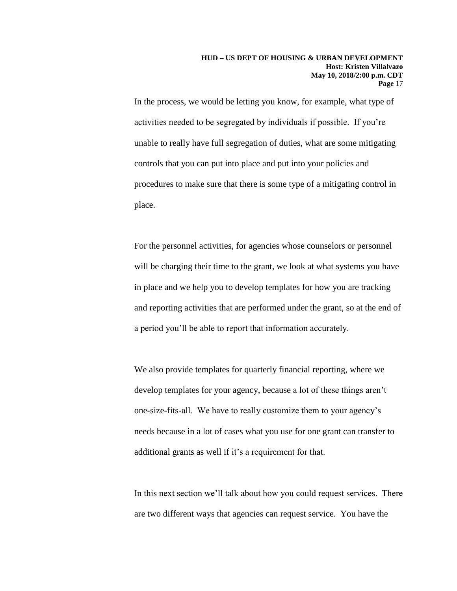In the process, we would be letting you know, for example, what type of activities needed to be segregated by individuals if possible. If you're unable to really have full segregation of duties, what are some mitigating controls that you can put into place and put into your policies and procedures to make sure that there is some type of a mitigating control in place.

For the personnel activities, for agencies whose counselors or personnel will be charging their time to the grant, we look at what systems you have in place and we help you to develop templates for how you are tracking and reporting activities that are performed under the grant, so at the end of a period you'll be able to report that information accurately.

We also provide templates for quarterly financial reporting, where we develop templates for your agency, because a lot of these things aren't one-size-fits-all. We have to really customize them to your agency's needs because in a lot of cases what you use for one grant can transfer to additional grants as well if it's a requirement for that.

In this next section we'll talk about how you could request services. There are two different ways that agencies can request service. You have the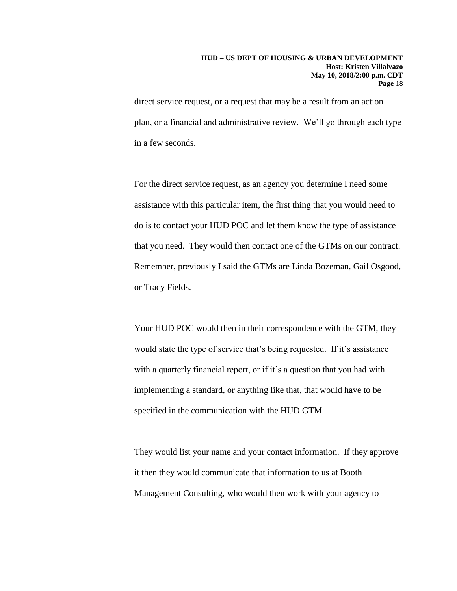#### **HUD – US DEPT OF HOUSING & URBAN DEVELOPMENT Host: Kristen Villalvazo May 10, 2018/2:00 p.m. CDT Page** 18

direct service request, or a request that may be a result from an action plan, or a financial and administrative review. We'll go through each type in a few seconds.

For the direct service request, as an agency you determine I need some assistance with this particular item, the first thing that you would need to do is to contact your HUD POC and let them know the type of assistance that you need. They would then contact one of the GTMs on our contract. Remember, previously I said the GTMs are Linda Bozeman, Gail Osgood, or Tracy Fields.

Your HUD POC would then in their correspondence with the GTM, they would state the type of service that's being requested. If it's assistance with a quarterly financial report, or if it's a question that you had with implementing a standard, or anything like that, that would have to be specified in the communication with the HUD GTM.

They would list your name and your contact information. If they approve it then they would communicate that information to us at Booth Management Consulting, who would then work with your agency to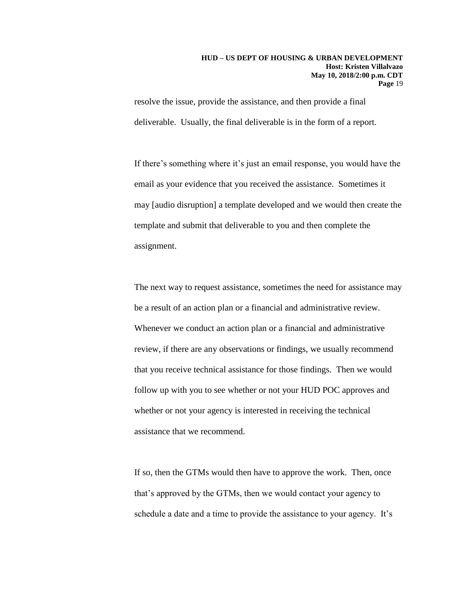resolve the issue, provide the assistance, and then provide a final deliverable. Usually, the final deliverable is in the form of a report.

If there's something where it's just an email response, you would have the email as your evidence that you received the assistance. Sometimes it may [audio disruption] a template developed and we would then create the template and submit that deliverable to you and then complete the assignment.

The next way to request assistance, sometimes the need for assistance may be a result of an action plan or a financial and administrative review. Whenever we conduct an action plan or a financial and administrative review, if there are any observations or findings, we usually recommend that you receive technical assistance for those findings. Then we would follow up with you to see whether or not your HUD POC approves and whether or not your agency is interested in receiving the technical assistance that we recommend.

If so, then the GTMs would then have to approve the work. Then, once that's approved by the GTMs, then we would contact your agency to schedule a date and a time to provide the assistance to your agency. It's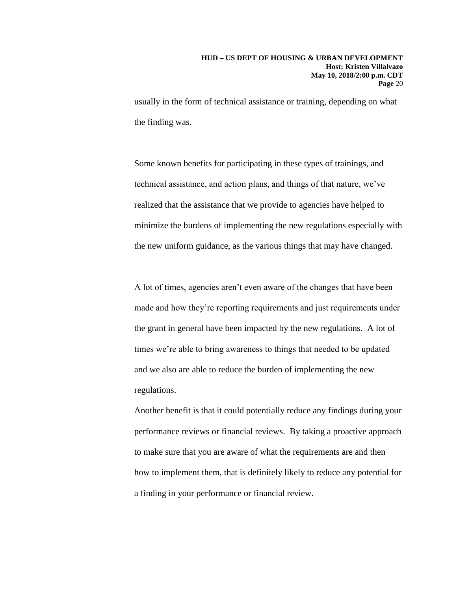usually in the form of technical assistance or training, depending on what the finding was.

Some known benefits for participating in these types of trainings, and technical assistance, and action plans, and things of that nature, we've realized that the assistance that we provide to agencies have helped to minimize the burdens of implementing the new regulations especially with the new uniform guidance, as the various things that may have changed.

A lot of times, agencies aren't even aware of the changes that have been made and how they're reporting requirements and just requirements under the grant in general have been impacted by the new regulations. A lot of times we're able to bring awareness to things that needed to be updated and we also are able to reduce the burden of implementing the new regulations.

Another benefit is that it could potentially reduce any findings during your performance reviews or financial reviews. By taking a proactive approach to make sure that you are aware of what the requirements are and then how to implement them, that is definitely likely to reduce any potential for a finding in your performance or financial review.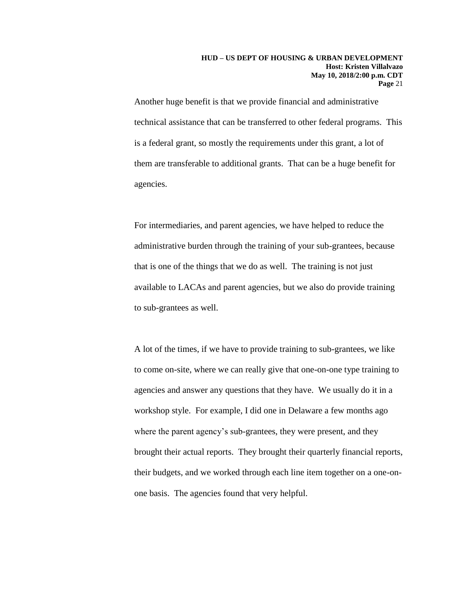Another huge benefit is that we provide financial and administrative technical assistance that can be transferred to other federal programs. This is a federal grant, so mostly the requirements under this grant, a lot of them are transferable to additional grants. That can be a huge benefit for agencies.

For intermediaries, and parent agencies, we have helped to reduce the administrative burden through the training of your sub-grantees, because that is one of the things that we do as well. The training is not just available to LACAs and parent agencies, but we also do provide training to sub-grantees as well.

A lot of the times, if we have to provide training to sub-grantees, we like to come on-site, where we can really give that one-on-one type training to agencies and answer any questions that they have. We usually do it in a workshop style. For example, I did one in Delaware a few months ago where the parent agency's sub-grantees, they were present, and they brought their actual reports. They brought their quarterly financial reports, their budgets, and we worked through each line item together on a one-onone basis. The agencies found that very helpful.